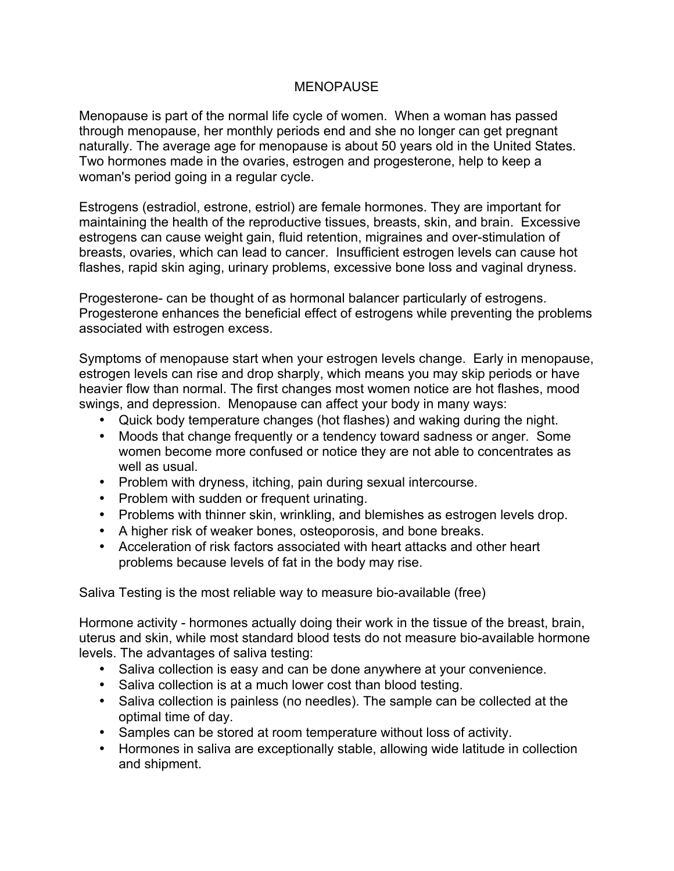## MENOPAUSE

Menopause is part of the normal life cycle of women. When a woman has passed through menopause, her monthly periods end and she no longer can get pregnant naturally. The average age for menopause is about 50 years old in the United States. Two hormones made in the ovaries, estrogen and progesterone, help to keep a woman's period going in a regular cycle.

Estrogens (estradiol, estrone, estriol) are female hormones. They are important for maintaining the health of the reproductive tissues, breasts, skin, and brain. Excessive estrogens can cause weight gain, fluid retention, migraines and over-stimulation of breasts, ovaries, which can lead to cancer. Insufficient estrogen levels can cause hot flashes, rapid skin aging, urinary problems, excessive bone loss and vaginal dryness.

Progesterone- can be thought of as hormonal balancer particularly of estrogens. Progesterone enhances the beneficial effect of estrogens while preventing the problems associated with estrogen excess.

Symptoms of menopause start when your estrogen levels change. Early in menopause, estrogen levels can rise and drop sharply, which means you may skip periods or have heavier flow than normal. The first changes most women notice are hot flashes, mood swings, and depression. Menopause can affect your body in many ways:

- Quick body temperature changes (hot flashes) and waking during the night.
- Moods that change frequently or a tendency toward sadness or anger. Some women become more confused or notice they are not able to concentrates as well as usual.
- Problem with dryness, itching, pain during sexual intercourse.
- Problem with sudden or frequent urinating.
- Problems with thinner skin, wrinkling, and blemishes as estrogen levels drop.
- A higher risk of weaker bones, osteoporosis, and bone breaks.
- Acceleration of risk factors associated with heart attacks and other heart problems because levels of fat in the body may rise.

Saliva Testing is the most reliable way to measure bio-available (free)

Hormone activity - hormones actually doing their work in the tissue of the breast, brain, uterus and skin, while most standard blood tests do not measure bio-available hormone levels. The advantages of saliva testing:

- Saliva collection is easy and can be done anywhere at your convenience.
- Saliva collection is at a much lower cost than blood testing.
- Saliva collection is painless (no needles). The sample can be collected at the optimal time of day.
- Samples can be stored at room temperature without loss of activity.
- Hormones in saliva are exceptionally stable, allowing wide latitude in collection and shipment.